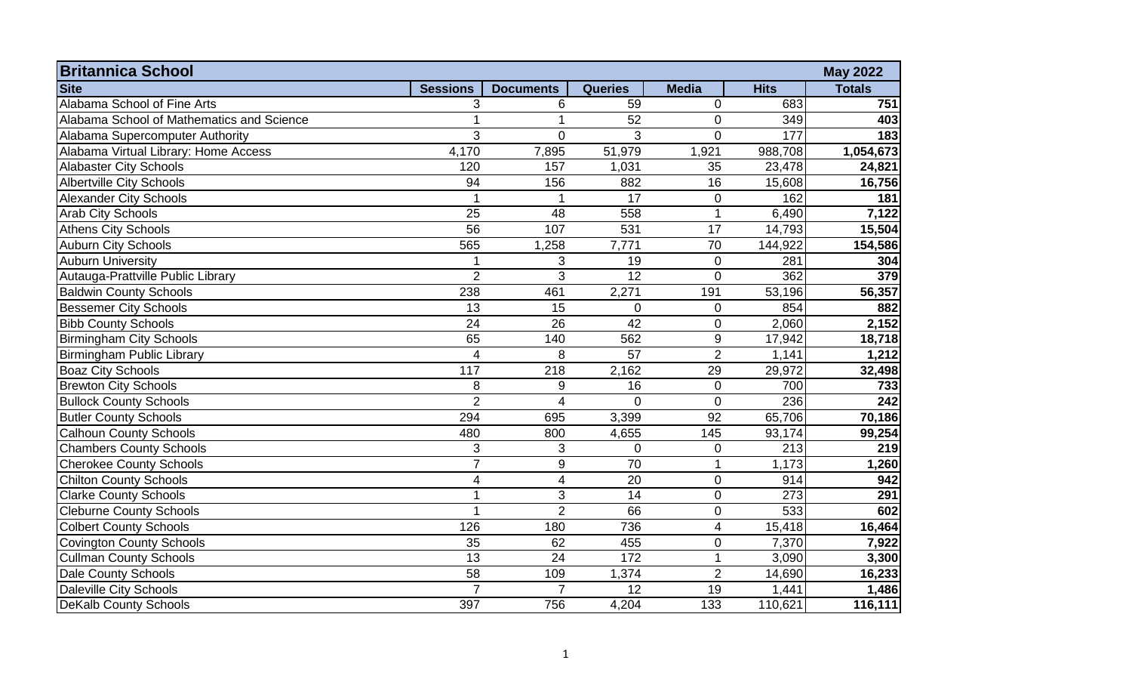| <b>Britannica School</b><br><b>May 2022</b> |                 |                  |                 |                  |             |               |  |
|---------------------------------------------|-----------------|------------------|-----------------|------------------|-------------|---------------|--|
| <b>Site</b>                                 | <b>Sessions</b> | <b>Documents</b> | <b>Queries</b>  | <b>Media</b>     | <b>Hits</b> | <b>Totals</b> |  |
| Alabama School of Fine Arts                 | 3               | 6                | 59              | $\mathbf 0$      | 683         | 751           |  |
| Alabama School of Mathematics and Science   |                 |                  | $\overline{52}$ | $\mathbf 0$      | 349         | 403           |  |
| Alabama Supercomputer Authority             | 3               | $\Omega$         | 3               | $\Omega$         | 177         | 183           |  |
| Alabama Virtual Library: Home Access        | 4,170           | 7,895            | 51,979          | 1,921            | 988,708     | 1,054,673     |  |
| <b>Alabaster City Schools</b>               | 120             | 157              | 1,031           | 35               | 23,478      | 24,821        |  |
| <b>Albertville City Schools</b>             | 94              | 156              | 882             | 16               | 15,608      | 16,756        |  |
| <b>Alexander City Schools</b>               | 1               | -1               | 17              | $\mathbf 0$      | 162         | 181           |  |
| <b>Arab City Schools</b>                    | $\overline{25}$ | 48               | 558             | $\mathbf 1$      | 6,490       | 7,122         |  |
| <b>Athens City Schools</b>                  | 56              | 107              | 531             | 17               | 14,793      | 15,504        |  |
| <b>Auburn City Schools</b>                  | 565             | 1,258            | 7,771           | 70               | 144,922     | 154,586       |  |
| <b>Auburn University</b>                    |                 | 3                | 19              | $\mathbf 0$      | 281         | 304           |  |
| Autauga-Prattville Public Library           | $\overline{2}$  | 3                | 12              | $\overline{0}$   | 362         | 379           |  |
| <b>Baldwin County Schools</b>               | 238             | 461              | 2,271           | 191              | 53,196      | 56,357        |  |
| <b>Bessemer City Schools</b>                | $\overline{13}$ | 15               | $\overline{0}$  | $\mathbf 0$      | 854         | 882           |  |
| <b>Bibb County Schools</b>                  | 24              | 26               | 42              | $\mathbf 0$      | 2,060       | 2,152         |  |
| <b>Birmingham City Schools</b>              | 65              | 140              | 562             | $\boldsymbol{9}$ | 17,942      | 18,718        |  |
| Birmingham Public Library                   | $\overline{4}$  | 8                | $\overline{57}$ | $\overline{2}$   | 1,141       | 1,212         |  |
| <b>Boaz City Schools</b>                    | 117             | 218              | 2,162           | 29               | 29,972      | 32,498        |  |
| <b>Brewton City Schools</b>                 | 8               | 9                | 16              | $\mathbf 0$      | 700         | 733           |  |
| <b>Bullock County Schools</b>               | $\overline{2}$  | $\overline{4}$   | $\Omega$        | $\overline{0}$   | 236         | 242           |  |
| <b>Butler County Schools</b>                | 294             | 695              | 3,399           | 92               | 65,706      | 70,186        |  |
| <b>Calhoun County Schools</b>               | 480             | 800              | 4,655           | 145              | 93,174      | 99,254        |  |
| <b>Chambers County Schools</b>              | 3               | 3                | $\overline{0}$  | $\mathbf 0$      | 213         | 219           |  |
| <b>Cherokee County Schools</b>              | $\overline{7}$  | 9                | 70              | $\mathbf{1}$     | 1,173       | 1,260         |  |
| <b>Chilton County Schools</b>               | $\overline{4}$  | 4                | 20              | $\mathbf 0$      | 914         | 942           |  |
| <b>Clarke County Schools</b>                | 1               | 3                | 14              | $\mathbf 0$      | 273         | 291           |  |
| <b>Cleburne County Schools</b>              |                 | $\overline{2}$   | 66              | $\mathbf 0$      | 533         | 602           |  |
| <b>Colbert County Schools</b>               | 126             | 180              | 736             | $\overline{4}$   | 15,418      | 16,464        |  |
| <b>Covington County Schools</b>             | 35              | 62               | 455             | $\mathbf 0$      | 7,370       | 7,922         |  |
| <b>Cullman County Schools</b>               | $\overline{13}$ | 24               | 172             | $\mathbf{1}$     | 3,090       | 3,300         |  |
| <b>Dale County Schools</b>                  | 58              | 109              | 1,374           | $\overline{2}$   | 14,690      | 16,233        |  |
| Daleville City Schools                      | $\overline{7}$  | $\overline{7}$   | 12              | 19               | 1,441       | 1,486         |  |
| <b>DeKalb County Schools</b>                | 397             | 756              | 4,204           | 133              | 110,621     | 116,111       |  |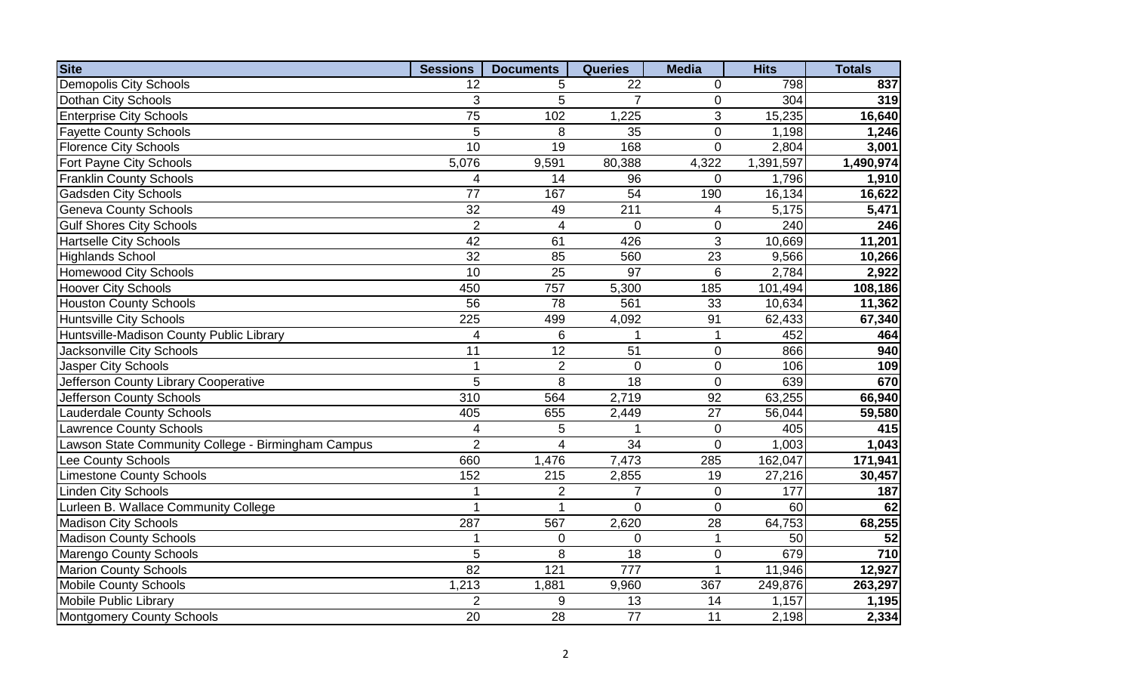| <b>Site</b>                                        | <b>Sessions</b> | <b>Documents</b>         | <b>Queries</b>  | <b>Media</b>    | <b>Hits</b> | <b>Totals</b>    |
|----------------------------------------------------|-----------------|--------------------------|-----------------|-----------------|-------------|------------------|
| <b>Demopolis City Schools</b>                      | 12              | 5                        | 22              | 0               | 798         | 837              |
| Dothan City Schools                                | 3               | 5                        | $\overline{7}$  | $\mathbf 0$     | 304         | 319              |
| <b>Enterprise City Schools</b>                     | $\overline{75}$ | 102                      | 1,225           | 3               | 15,235      | 16,640           |
| <b>Fayette County Schools</b>                      | 5               | 8                        | 35              | $\pmb{0}$       | 1,198       | 1,246            |
| <b>Florence City Schools</b>                       | 10              | 19                       | 168             | $\overline{0}$  | 2,804       | 3,001            |
| Fort Payne City Schools                            | 5,076           | 9,591                    | 80,388          | 4,322           | 1,391,597   | 1,490,974        |
| <b>Franklin County Schools</b>                     | $\overline{4}$  | 14                       | 96              | $\overline{0}$  | 1,796       | 1,910            |
| <b>Gadsden City Schools</b>                        | 77              | 167                      | 54              | 190             | 16,134      | 16,622           |
| <b>Geneva County Schools</b>                       | $\overline{32}$ | 49                       | 211             | 4               | 5,175       | 5,471            |
| <b>Gulf Shores City Schools</b>                    | $\overline{2}$  | $\overline{4}$           | $\pmb{0}$       | $\pmb{0}$       | 240         | 246              |
| <b>Hartselle City Schools</b>                      | $\overline{42}$ | 61                       | 426             | $\overline{3}$  | 10,669      | 11,201           |
| <b>Highlands School</b>                            | 32              | 85                       | 560             | 23              | 9,566       | 10,266           |
| <b>Homewood City Schools</b>                       | 10              | 25                       | 97              | 6               | 2,784       | 2,922            |
| <b>Hoover City Schools</b>                         | 450             | 757                      | 5,300           | 185             | 101,494     | 108,186          |
| Houston County Schools                             | 56              | 78                       | 561             | 33              | 10,634      | 11,362           |
| <b>Huntsville City Schools</b>                     | 225             | 499                      | 4,092           | 91              | 62,433      | 67,340           |
| Huntsville-Madison County Public Library           | 4               | 6                        | 1               | $\mathbf{1}$    | 452         | 464              |
| Jacksonville City Schools                          | $\overline{11}$ | $\overline{12}$          | $\overline{51}$ | $\mathsf 0$     | 866         | 940              |
| Jasper City Schools                                | $\mathbf{1}$    | $\overline{2}$           | $\mathbf 0$     | $\pmb{0}$       | 106         | 109              |
| Jefferson County Library Cooperative               | 5               | 8                        | 18              | $\mathbf 0$     | 639         | 670              |
| Jefferson County Schools                           | 310             | 564                      | 2,719           | 92              | 63,255      | 66,940           |
| <b>Lauderdale County Schools</b>                   | 405             | 655                      | 2,449           | $\overline{27}$ | 56,044      | 59,580           |
| <b>Lawrence County Schools</b>                     | 4               | 5                        | $\mathbf{1}$    | $\pmb{0}$       | 405         | 415              |
| Lawson State Community College - Birmingham Campus | $\overline{2}$  | $\overline{\mathcal{L}}$ | $\overline{34}$ | $\mathbf 0$     | 1,003       | 1,043            |
| Lee County Schools                                 | 660             | 1,476                    | 7,473           | 285             | 162,047     | 171,941          |
| <b>Limestone County Schools</b>                    | 152             | 215                      | 2,855           | 19              | 27,216      | 30,457           |
| <b>Linden City Schools</b>                         |                 | $\overline{2}$           | $\overline{7}$  | $\mathbf 0$     | 177         | 187              |
| Lurleen B. Wallace Community College               | 1               | 1                        | $\overline{0}$  | $\mathbf 0$     | 60          | 62               |
| <b>Madison City Schools</b>                        | 287             | 567                      | 2,620           | 28              | 64,753      | 68,255           |
| <b>Madison County Schools</b>                      | 1               | 0                        | 0               | 1               | 50          | 52               |
| Marengo County Schools                             | $\overline{5}$  | 8                        | 18              | $\mathbf 0$     | 679         | $\overline{710}$ |
| <b>Marion County Schools</b>                       | 82              | 121                      | 777             | 1               | 11,946      | 12,927           |
| <b>Mobile County Schools</b>                       | 1,213           | 1,881                    | 9,960           | 367             | 249,876     | 263,297          |
| <b>Mobile Public Library</b>                       | $\overline{2}$  | 9                        | 13              | 14              | 1,157       | 1,195            |
| Montgomery County Schools                          | 20              | 28                       | $\overline{77}$ | 11              | 2,198       | 2,334            |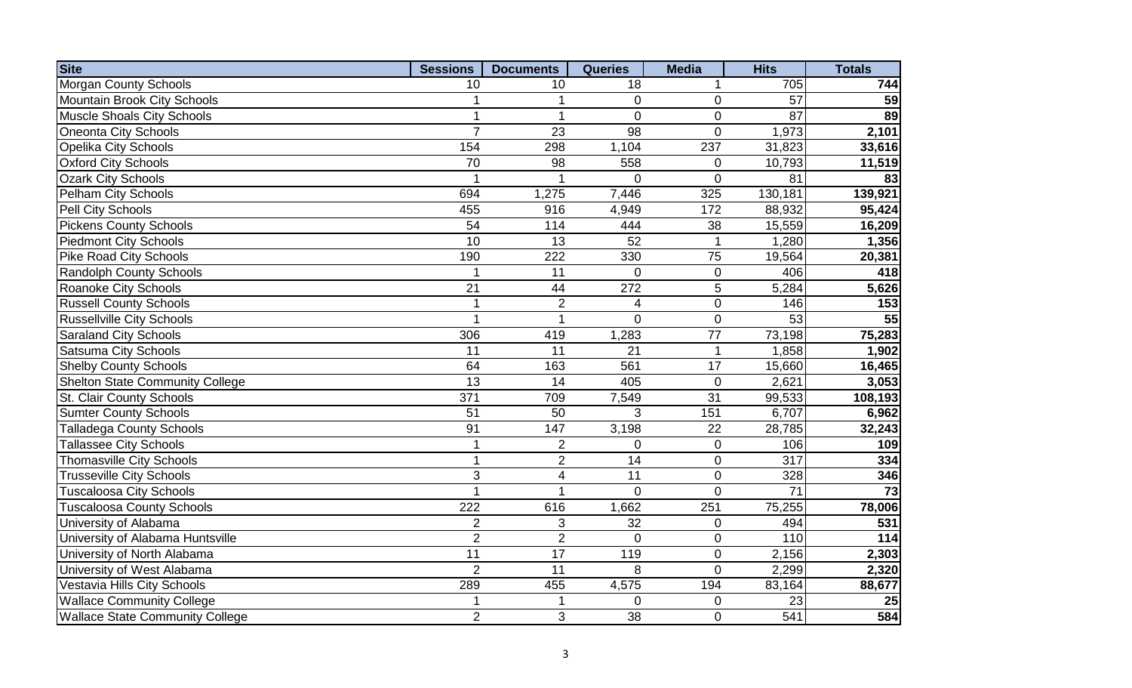| <b>Site</b>                            | <b>Sessions</b> | <b>Documents</b> | <b>Queries</b>          | <b>Media</b>   | <b>Hits</b>      | <b>Totals</b>   |
|----------------------------------------|-----------------|------------------|-------------------------|----------------|------------------|-----------------|
| <b>Morgan County Schools</b>           | 10              | 10               | 18                      | 1              | 705              | 744             |
| <b>Mountain Brook City Schools</b>     | 1               | 1                | $\mathbf 0$             | $\mathbf 0$    | 57               | $\overline{59}$ |
| Muscle Shoals City Schools             | $\mathbf 1$     | 1                | $\overline{0}$          | $\mathbf 0$    | $\overline{87}$  | 89              |
| Oneonta City Schools                   | $\overline{7}$  | 23               | 98                      | $\mathbf 0$    | 1,973            | 2,101           |
| <b>Opelika City Schools</b>            | 154             | 298              | 1,104                   | 237            | 31,823           | 33,616          |
| <b>Oxford City Schools</b>             | 70              | 98               | 558                     | $\mathbf 0$    | 10,793           | 11,519          |
| <b>Ozark City Schools</b>              |                 |                  | $\overline{0}$          | $\overline{0}$ | 81               | 83              |
| Pelham City Schools                    | 694             | 1,275            | 7,446                   | 325            | 130,181          | 139,921         |
| Pell City Schools                      | 455             | 916              | 4,949                   | 172            | 88,932           | 95,424          |
| <b>Pickens County Schools</b>          | 54              | 114              | 444                     | 38             | 15,559           | 16,209          |
| <b>Piedmont City Schools</b>           | 10              | 13               | 52                      | 1              | 1,280            | 1,356           |
| <b>Pike Road City Schools</b>          | 190             | 222              | 330                     | 75             | 19,564           | 20,381          |
| <b>Randolph County Schools</b>         |                 | 11               | $\overline{0}$          | $\pmb{0}$      | 406              | 418             |
| Roanoke City Schools                   | $\overline{21}$ | 44               | 272                     | 5              | 5,284            | 5,626           |
| <b>Russell County Schools</b>          | $\mathbf{1}$    | $\overline{2}$   | $\overline{\mathbf{4}}$ | $\mathbf 0$    | 146              | 153             |
| <b>Russellville City Schools</b>       | 1               | 1                | $\Omega$                | $\mathbf 0$    | 53               | $\overline{55}$ |
| <b>Saraland City Schools</b>           | 306             | 419              | 1,283                   | 77             | 73,198           | 75,283          |
| <b>Satsuma City Schools</b>            | 11              | 11               | 21                      | $\mathbf{1}$   | 1,858            | 1,902           |
| <b>Shelby County Schools</b>           | 64              | 163              | 561                     | 17             | 15,660           | 16,465          |
| <b>Shelton State Community College</b> | 13              | 14               | 405                     | $\mathbf 0$    | 2,621            | 3,053           |
| St. Clair County Schools               | 371             | 709              | 7,549                   | 31             | 99,533           | 108,193         |
| <b>Sumter County Schools</b>           | 51              | 50               | 3                       | 151            | 6,707            | 6,962           |
| <b>Talladega County Schools</b>        | 91              | 147              | 3,198                   | 22             | 28,785           | 32,243          |
| <b>Tallassee City Schools</b>          | 1               | $\overline{2}$   | $\overline{0}$          | $\pmb{0}$      | 106              | 109             |
| Thomasville City Schools               | $\mathbf{1}$    | $\overline{2}$   | $\overline{14}$         | $\mathbf 0$    | $\overline{317}$ | 334             |
| <b>Trusseville City Schools</b>        | 3               | $\overline{4}$   | 11                      | $\mathbf 0$    | 328              | 346             |
| <b>Tuscaloosa City Schools</b>         | 1               |                  | $\overline{0}$          | $\overline{0}$ | 71               | $\overline{73}$ |
| <b>Tuscaloosa County Schools</b>       | 222             | 616              | 1,662                   | 251            | 75,255           | 78,006          |
| University of Alabama                  | $\overline{2}$  | 3                | 32                      | $\mathbf 0$    | 494              | 531             |
| University of Alabama Huntsville       | $\overline{2}$  | $\overline{2}$   | $\overline{0}$          | $\mathbf 0$    | 110              | $\frac{1}{114}$ |
| University of North Alabama            | 11              | 17               | 119                     | $\mathbf 0$    | 2,156            | 2,303           |
| University of West Alabama             | $\overline{2}$  | 11               | 8                       | $\overline{0}$ | 2,299            | 2,320           |
| Vestavia Hills City Schools            | 289             | 455              | 4,575                   | 194            | 83,164           | 88,677          |
| <b>Wallace Community College</b>       |                 |                  | $\overline{0}$          | 0              | 23               | 25              |
| <b>Wallace State Community College</b> | $\overline{2}$  | 3                | 38                      | $\pmb{0}$      | 541              | 584             |